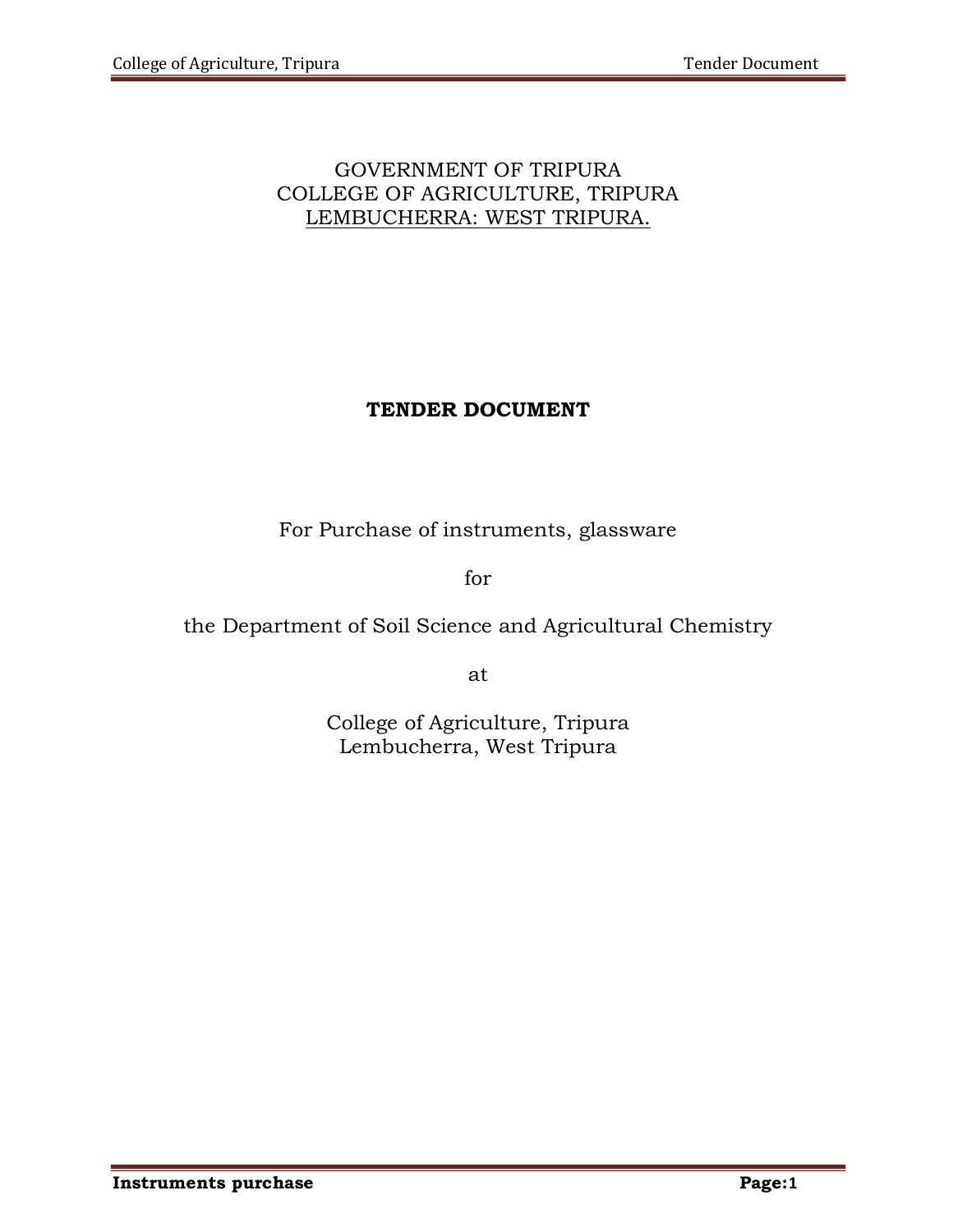# GOVERNMENT OF TRIPURA COLLEGE OF AGRICULTURE, TRIPURA LEMBUCHERRA: WEST TRIPURA.

# TENDER DOCUMENT

For Purchase of instruments, glassware

for

the Department of Soil Science and Agricultural Chemistry

at

College of Agriculture, Tripura Lembucherra, West Tripura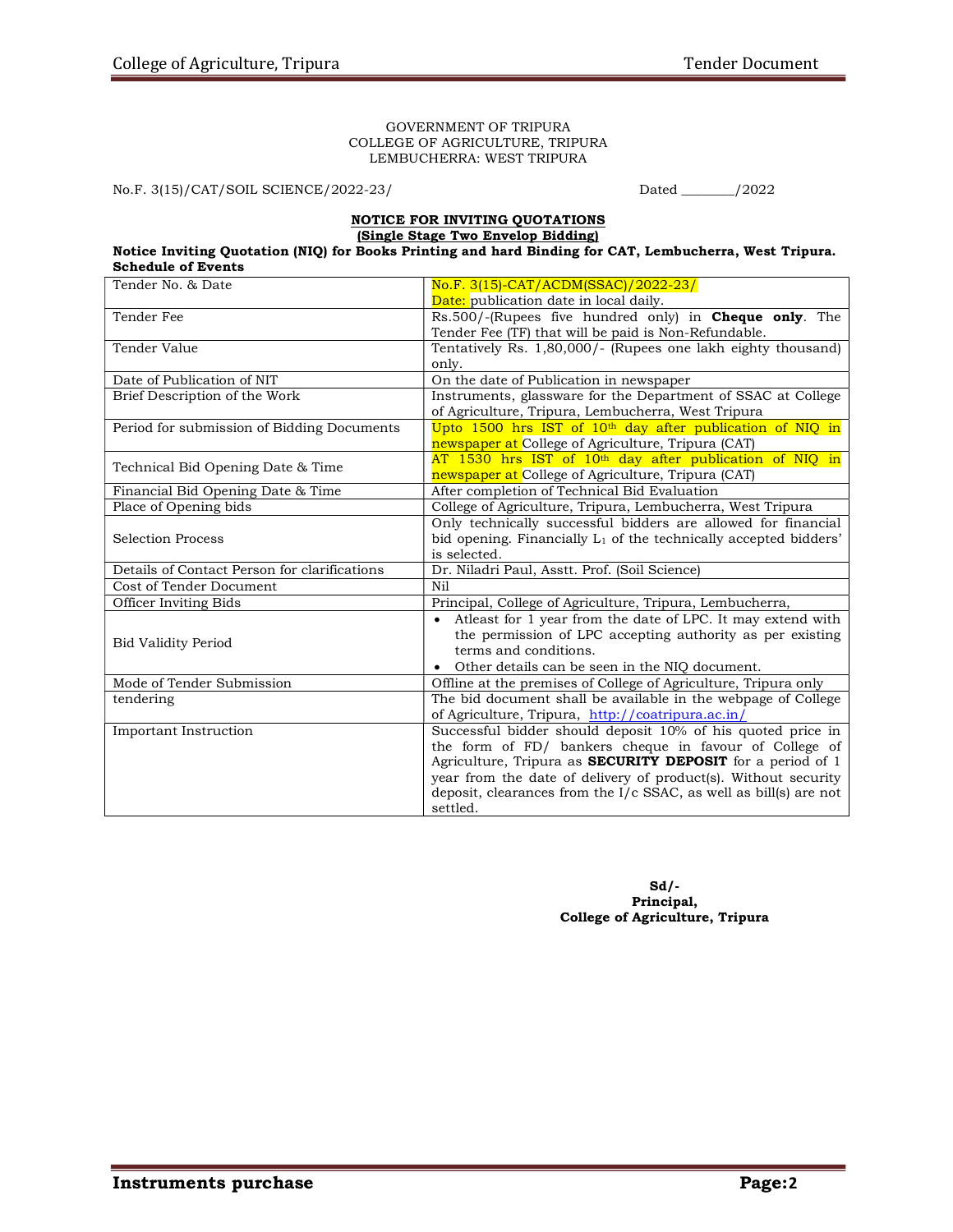#### GOVERNMENT OF TRIPURA COLLEGE OF AGRICULTURE, TRIPURA LEMBUCHERRA: WEST TRIPURA

No.F. 3(15)/CAT/SOIL SCIENCE/2022-23/ Dated \_\_\_\_\_\_\_\_/2022

#### NOTICE FOR INVITING QUOTATIONS (Single Stage Two Envelop Bidding)

#### Notice Inviting Quotation (NIQ) for Books Printing and hard Binding for CAT, Lembucherra, West Tripura. Schedule of Events

| Tender No. & Date                            | No.F. 3(15)-CAT/ACDM(SSAC)/2022-23/                                          |  |  |
|----------------------------------------------|------------------------------------------------------------------------------|--|--|
|                                              | <b>Date:</b> publication date in local daily.                                |  |  |
| Tender Fee                                   | $Rs.500/-$ (Rupees five hundred only) in <b>Cheque only</b> . The            |  |  |
|                                              | Tender Fee (TF) that will be paid is Non-Refundable.                         |  |  |
| Tender Value                                 | Tentatively Rs. 1,80,000/- (Rupees one lakh eighty thousand)                 |  |  |
|                                              | only.                                                                        |  |  |
| Date of Publication of NIT                   | On the date of Publication in newspaper                                      |  |  |
| Brief Description of the Work                | Instruments, glassware for the Department of SSAC at College                 |  |  |
|                                              | of Agriculture, Tripura, Lembucherra, West Tripura                           |  |  |
| Period for submission of Bidding Documents   | Upto 1500 hrs IST of 10 <sup>th</sup> day after publication of NIQ in        |  |  |
|                                              | newspaper at College of Agriculture, Tripura (CAT)                           |  |  |
|                                              | AT 1530 hrs IST of 10 <sup>th</sup> day after publication of NIQ in          |  |  |
| Technical Bid Opening Date & Time            | newspaper at College of Agriculture, Tripura (CAT)                           |  |  |
| Financial Bid Opening Date & Time            | After completion of Technical Bid Evaluation                                 |  |  |
| Place of Opening bids                        | College of Agriculture, Tripura, Lembucherra, West Tripura                   |  |  |
|                                              | Only technically successful bidders are allowed for financial                |  |  |
| <b>Selection Process</b>                     | bid opening. Financially L <sub>1</sub> of the technically accepted bidders' |  |  |
|                                              | is selected.                                                                 |  |  |
| Details of Contact Person for clarifications | Dr. Niladri Paul, Asstt. Prof. (Soil Science)                                |  |  |
| Cost of Tender Document                      | N <sub>i</sub> 1                                                             |  |  |
| Officer Inviting Bids                        | Principal, College of Agriculture, Tripura, Lembucherra,                     |  |  |
|                                              | Atleast for 1 year from the date of LPC. It may extend with<br>$\bullet$     |  |  |
| <b>Bid Validity Period</b>                   | the permission of LPC accepting authority as per existing                    |  |  |
|                                              | terms and conditions.                                                        |  |  |
|                                              | Other details can be seen in the NIQ document.                               |  |  |
| Mode of Tender Submission                    | Offline at the premises of College of Agriculture, Tripura only              |  |  |
| tendering                                    | The bid document shall be available in the webpage of College                |  |  |
|                                              | of Agriculture, Tripura, http://coatripura.ac.in/                            |  |  |
| Important Instruction                        | Successful bidder should deposit 10% of his quoted price in                  |  |  |
|                                              | the form of FD/ bankers cheque in favour of College of                       |  |  |
|                                              | Agriculture, Tripura as <b>SECURITY DEPOSIT</b> for a period of 1            |  |  |
|                                              | year from the date of delivery of product(s). Without security               |  |  |
|                                              | deposit, clearances from the $I/c$ SSAC, as well as bill(s) are not          |  |  |
|                                              | settled.                                                                     |  |  |

 $Sd$ . Principal, College of Agriculture, Tripura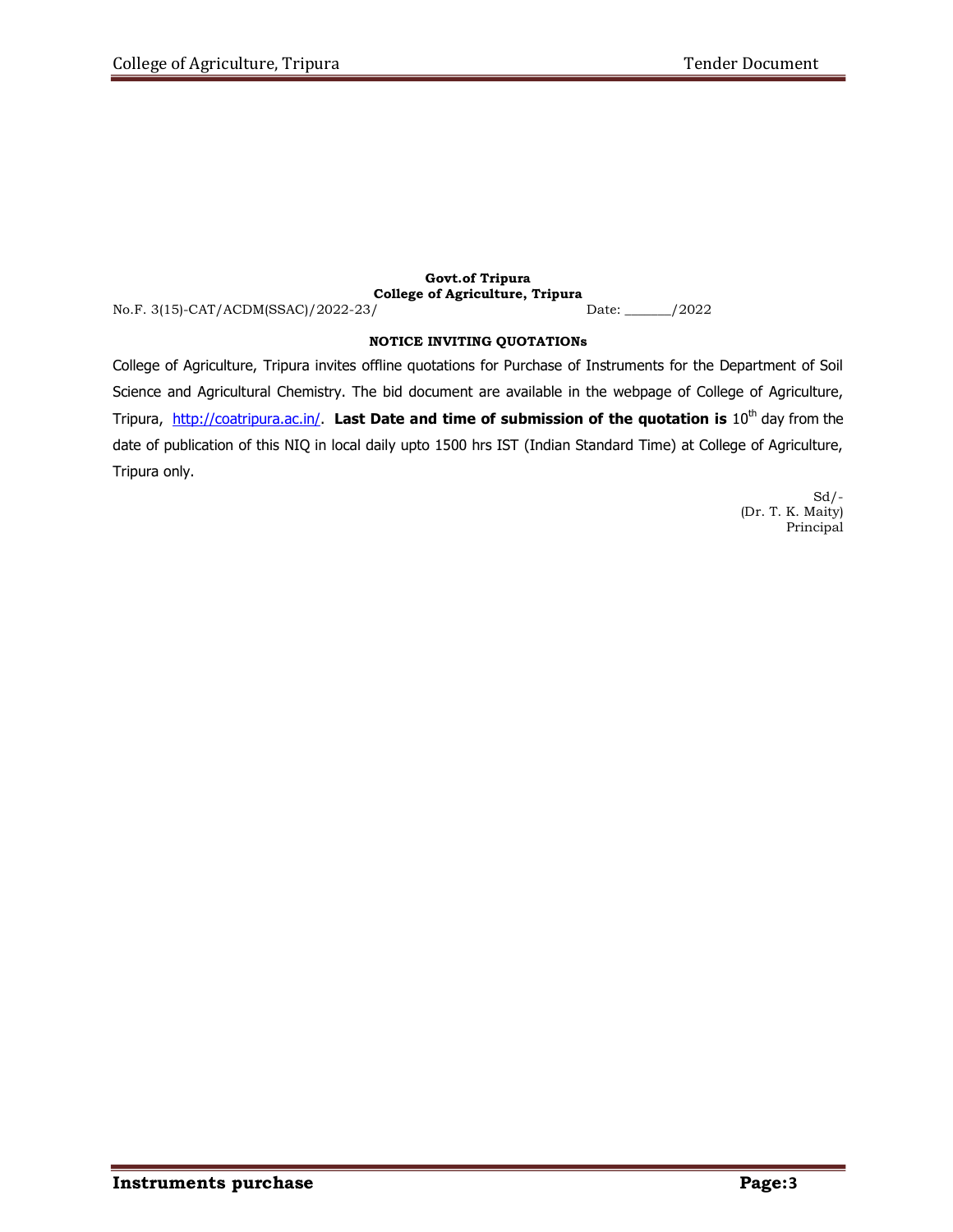## Govt.of Tripura College of Agriculture, Tripura

No.F. 3(15)-CAT/ACDM(SSAC)/2022-23/

### NOTICE INVITING QUOTATIONs

College of Agriculture, Tripura invites offline quotations for Purchase of Instruments for the Department of Soil Science and Agricultural Chemistry. The bid document are available in the webpage of College of Agriculture, Tripura, http://coatripura.ac.in/. Last Date and time of submission of the quotation is  $10^{th}$  day from the date of publication of this NIQ in local daily upto 1500 hrs IST (Indian Standard Time) at College of Agriculture, Tripura only.

> $Sd$  /-(Dr. T. K. Maity) Principal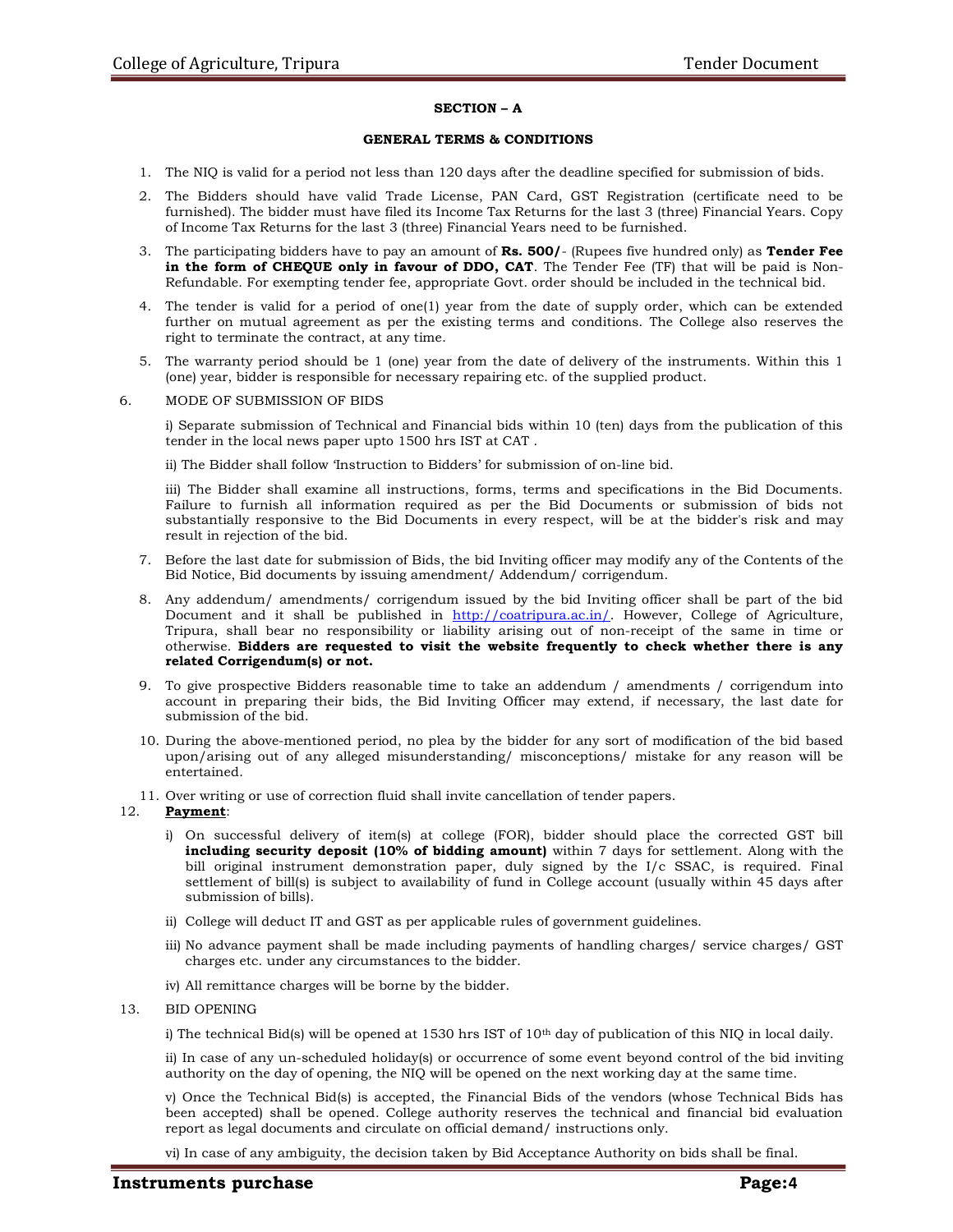#### SECTION – A

#### GENERAL TERMS & CONDITIONS

- 1. The NIQ is valid for a period not less than 120 days after the deadline specified for submission of bids.
- 2. The Bidders should have valid Trade License, PAN Card, GST Registration (certificate need to be furnished). The bidder must have filed its Income Tax Returns for the last 3 (three) Financial Years. Copy of Income Tax Returns for the last 3 (three) Financial Years need to be furnished.
- 3. The participating bidders have to pay an amount of **Rs. 500/** (Rupees five hundred only) as **Tender Fee** in the form of CHEQUE only in favour of DDO, CAT. The Tender Fee (TF) that will be paid is Non-Refundable. For exempting tender fee, appropriate Govt. order should be included in the technical bid.
- 4. The tender is valid for a period of one(1) year from the date of supply order, which can be extended further on mutual agreement as per the existing terms and conditions. The College also reserves the right to terminate the contract, at any time.
- 5. The warranty period should be 1 (one) year from the date of delivery of the instruments. Within this 1 (one) year, bidder is responsible for necessary repairing etc. of the supplied product.

#### 6. MODE OF SUBMISSION OF BIDS

i) Separate submission of Technical and Financial bids within 10 (ten) days from the publication of this tender in the local news paper upto 1500 hrs IST at CAT .

ii) The Bidder shall follow 'Instruction to Bidders' for submission of on-line bid.

iii) The Bidder shall examine all instructions, forms, terms and specifications in the Bid Documents. Failure to furnish all information required as per the Bid Documents or submission of bids not substantially responsive to the Bid Documents in every respect, will be at the bidder's risk and may result in rejection of the bid.

- 7. Before the last date for submission of Bids, the bid Inviting officer may modify any of the Contents of the Bid Notice, Bid documents by issuing amendment/ Addendum/ corrigendum.
- 8. Any addendum/ amendments/ corrigendum issued by the bid Inviting officer shall be part of the bid Document and it shall be published in http://coatripura.ac.in/. However, College of Agriculture, Tripura, shall bear no responsibility or liability arising out of non-receipt of the same in time or otherwise. Bidders are requested to visit the website frequently to check whether there is any related Corrigendum(s) or not.
- 9. To give prospective Bidders reasonable time to take an addendum / amendments / corrigendum into account in preparing their bids, the Bid Inviting Officer may extend, if necessary, the last date for submission of the bid.
- 10. During the above-mentioned period, no plea by the bidder for any sort of modification of the bid based upon/arising out of any alleged misunderstanding/ misconceptions/ mistake for any reason will be entertained.
- 11. Over writing or use of correction fluid shall invite cancellation of tender papers.

#### 12. Payment:

- i) On successful delivery of item(s) at college (FOR), bidder should place the corrected GST bill including security deposit (10% of bidding amount) within 7 days for settlement. Along with the bill original instrument demonstration paper, duly signed by the I/c SSAC, is required. Final settlement of bill(s) is subject to availability of fund in College account (usually within 45 days after submission of bills).
- ii) College will deduct IT and GST as per applicable rules of government guidelines.
- iii) No advance payment shall be made including payments of handling charges/ service charges/ GST charges etc. under any circumstances to the bidder.
- iv) All remittance charges will be borne by the bidder.
- 13. BID OPENING

i) The technical Bid(s) will be opened at 1530 hrs IST of  $10<sup>th</sup>$  day of publication of this NIQ in local daily.

ii) In case of any un-scheduled holiday(s) or occurrence of some event beyond control of the bid inviting authority on the day of opening, the NIQ will be opened on the next working day at the same time.

v) Once the Technical Bid(s) is accepted, the Financial Bids of the vendors (whose Technical Bids has been accepted) shall be opened. College authority reserves the technical and financial bid evaluation report as legal documents and circulate on official demand/ instructions only.

vi) In case of any ambiguity, the decision taken by Bid Acceptance Authority on bids shall be final.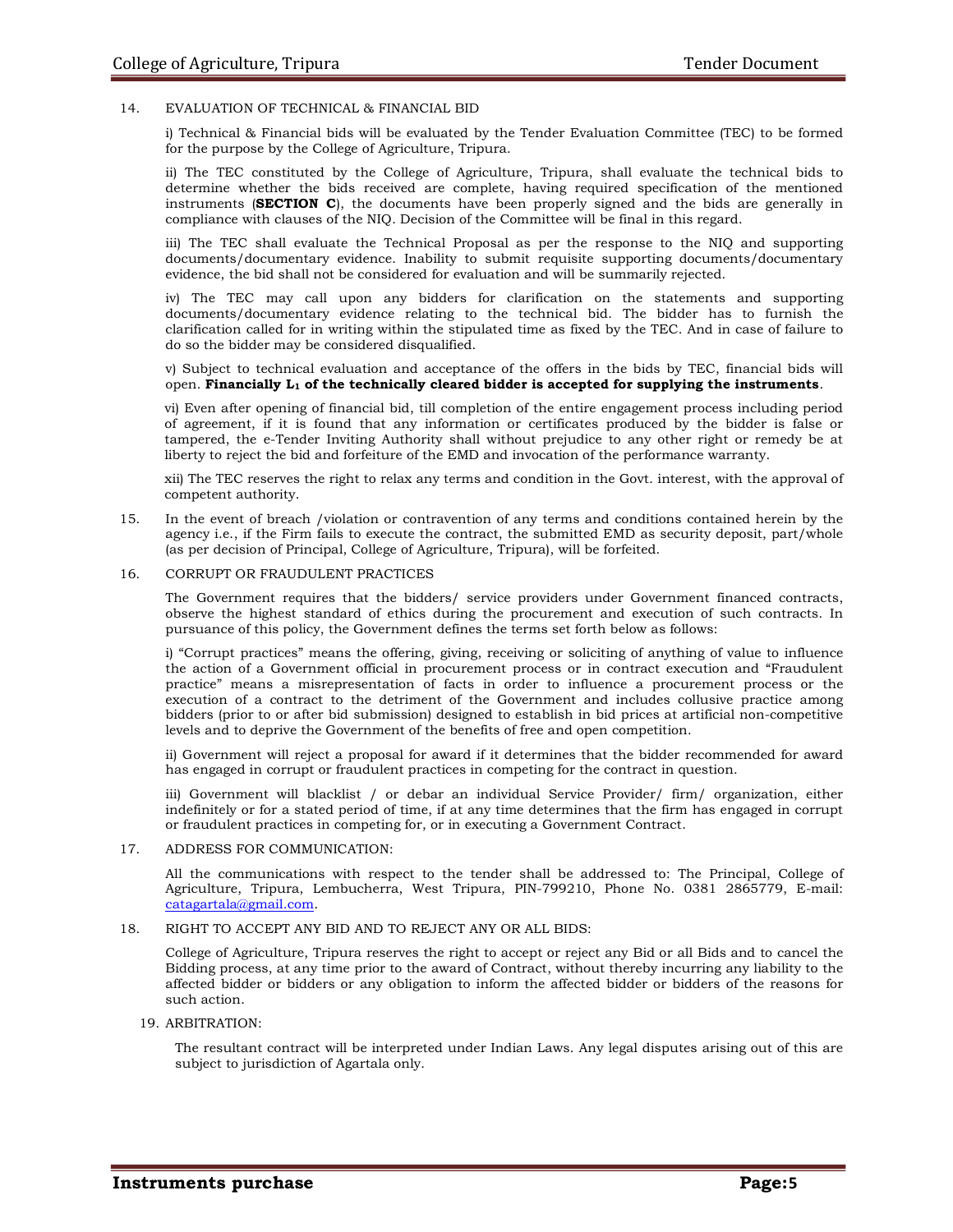#### 14. EVALUATION OF TECHNICAL & FINANCIAL BID

i) Technical & Financial bids will be evaluated by the Tender Evaluation Committee (TEC) to be formed for the purpose by the College of Agriculture, Tripura.

ii) The TEC constituted by the College of Agriculture, Tripura, shall evaluate the technical bids to determine whether the bids received are complete, having required specification of the mentioned instruments (SECTION C), the documents have been properly signed and the bids are generally in compliance with clauses of the NIQ. Decision of the Committee will be final in this regard.

iii) The TEC shall evaluate the Technical Proposal as per the response to the NIQ and supporting documents/documentary evidence. Inability to submit requisite supporting documents/documentary evidence, the bid shall not be considered for evaluation and will be summarily rejected.

iv) The TEC may call upon any bidders for clarification on the statements and supporting documents/documentary evidence relating to the technical bid. The bidder has to furnish the clarification called for in writing within the stipulated time as fixed by the TEC. And in case of failure to do so the bidder may be considered disqualified.

v) Subject to technical evaluation and acceptance of the offers in the bids by TEC, financial bids will open. Financially  $L_1$  of the technically cleared bidder is accepted for supplying the instruments.

vi) Even after opening of financial bid, till completion of the entire engagement process including period of agreement, if it is found that any information or certificates produced by the bidder is false or tampered, the e-Tender Inviting Authority shall without prejudice to any other right or remedy be at liberty to reject the bid and forfeiture of the EMD and invocation of the performance warranty.

xii) The TEC reserves the right to relax any terms and condition in the Govt. interest, with the approval of competent authority.

15. In the event of breach /violation or contravention of any terms and conditions contained herein by the agency i.e., if the Firm fails to execute the contract, the submitted EMD as security deposit, part/whole (as per decision of Principal, College of Agriculture, Tripura), will be forfeited.

#### 16. CORRUPT OR FRAUDULENT PRACTICES

The Government requires that the bidders/ service providers under Government financed contracts, observe the highest standard of ethics during the procurement and execution of such contracts. In pursuance of this policy, the Government defines the terms set forth below as follows:

i) "Corrupt practices" means the offering, giving, receiving or soliciting of anything of value to influence the action of a Government official in procurement process or in contract execution and "Fraudulent practice" means a misrepresentation of facts in order to influence a procurement process or the execution of a contract to the detriment of the Government and includes collusive practice among bidders (prior to or after bid submission) designed to establish in bid prices at artificial non-competitive levels and to deprive the Government of the benefits of free and open competition.

ii) Government will reject a proposal for award if it determines that the bidder recommended for award has engaged in corrupt or fraudulent practices in competing for the contract in question.

iii) Government will blacklist / or debar an individual Service Provider/ firm/ organization, either indefinitely or for a stated period of time, if at any time determines that the firm has engaged in corrupt or fraudulent practices in competing for, or in executing a Government Contract.

#### 17. ADDRESS FOR COMMUNICATION:

All the communications with respect to the tender shall be addressed to: The Principal, College of Agriculture, Tripura, Lembucherra, West Tripura, PIN-799210, Phone No. 0381 2865779, E-mail: catagartala@gmail.com.

#### 18. RIGHT TO ACCEPT ANY BID AND TO REJECT ANY OR ALL BIDS:

College of Agriculture, Tripura reserves the right to accept or reject any Bid or all Bids and to cancel the Bidding process, at any time prior to the award of Contract, without thereby incurring any liability to the affected bidder or bidders or any obligation to inform the affected bidder or bidders of the reasons for such action.

#### 19. ARBITRATION:

The resultant contract will be interpreted under Indian Laws. Any legal disputes arising out of this are subject to jurisdiction of Agartala only.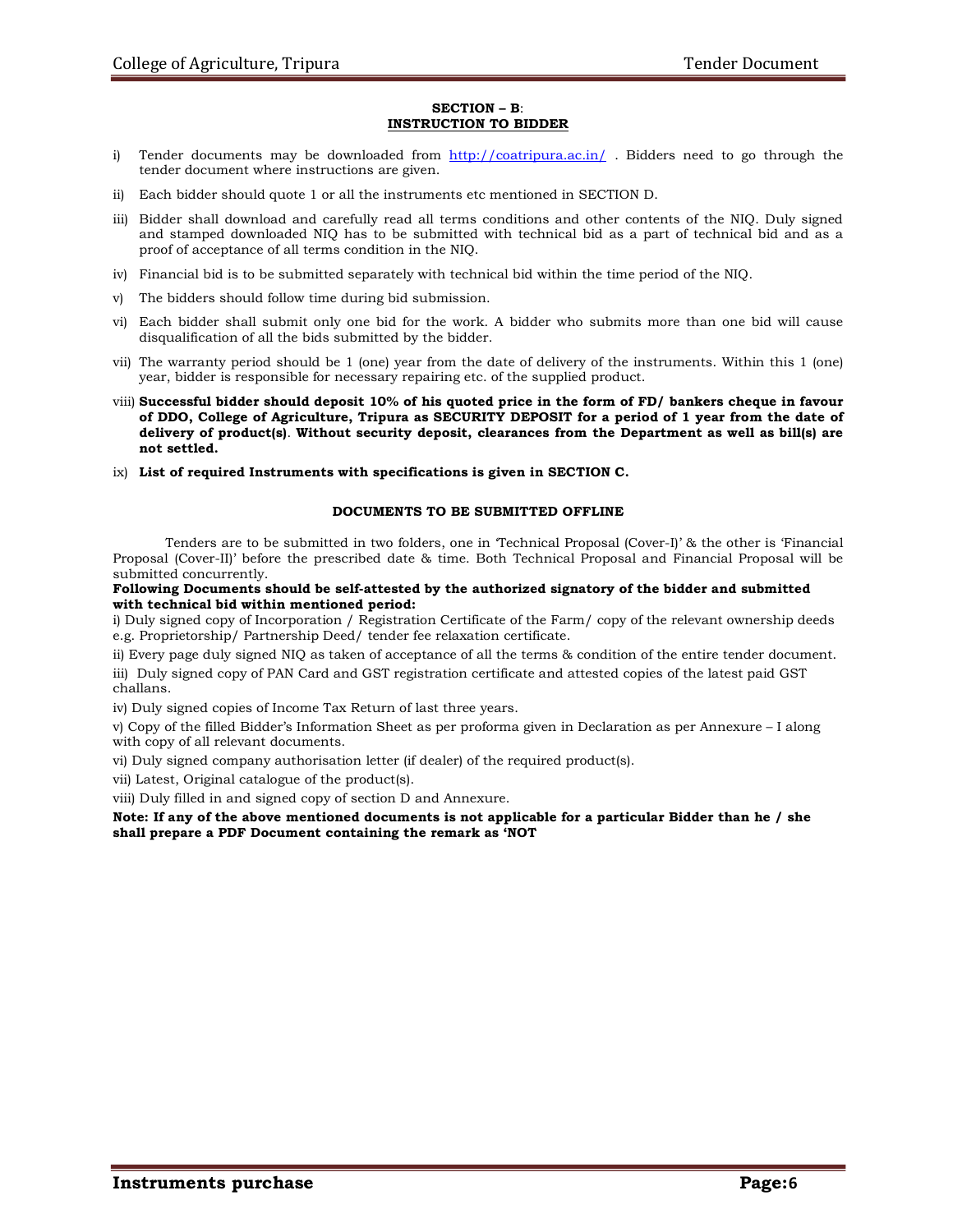#### SECTION – B: INSTRUCTION TO BIDDER

- i) Tender documents may be downloaded from http://coatripura.ac.in/. Bidders need to go through the tender document where instructions are given.
- ii) Each bidder should quote 1 or all the instruments etc mentioned in SECTION D.
- iii) Bidder shall download and carefully read all terms conditions and other contents of the NIQ. Duly signed and stamped downloaded NIQ has to be submitted with technical bid as a part of technical bid and as a proof of acceptance of all terms condition in the NIQ.
- iv) Financial bid is to be submitted separately with technical bid within the time period of the NIQ.
- v) The bidders should follow time during bid submission.
- vi) Each bidder shall submit only one bid for the work. A bidder who submits more than one bid will cause disqualification of all the bids submitted by the bidder.
- vii) The warranty period should be 1 (one) year from the date of delivery of the instruments. Within this 1 (one) year, bidder is responsible for necessary repairing etc. of the supplied product.
- viii) Successful bidder should deposit 10% of his quoted price in the form of FD/ bankers cheque in favour of DDO, College of Agriculture, Tripura as SECURITY DEPOSIT for a period of 1 year from the date of delivery of product(s). Without security deposit, clearances from the Department as well as bill(s) are not settled.
- $ix)$  List of required Instruments with specifications is given in SECTION C.

#### DOCUMENTS TO BE SUBMITTED OFFLINE

Tenders are to be submitted in two folders, one in 'Technical Proposal (Cover-I)' & the other is 'Financial Proposal (Cover-II)' before the prescribed date & time. Both Technical Proposal and Financial Proposal will be submitted concurrently.

#### Following Documents should be self-attested by the authorized signatory of the bidder and submitted with technical bid within mentioned period:

i) Duly signed copy of Incorporation / Registration Certificate of the Farm/ copy of the relevant ownership deeds e.g. Proprietorship/ Partnership Deed/ tender fee relaxation certificate.

ii) Every page duly signed NIQ as taken of acceptance of all the terms & condition of the entire tender document. iii) Duly signed copy of PAN Card and GST registration certificate and attested copies of the latest paid GST challans.

iv) Duly signed copies of Income Tax Return of last three years.

v) Copy of the filled Bidder's Information Sheet as per proforma given in Declaration as per Annexure – I along with copy of all relevant documents.

vi) Duly signed company authorisation letter (if dealer) of the required product(s).

vii) Latest, Original catalogue of the product(s).

viii) Duly filled in and signed copy of section D and Annexure.

#### Note: If any of the above mentioned documents is not applicable for a particular Bidder than he / she shall prepare a PDF Document containing the remark as 'NOT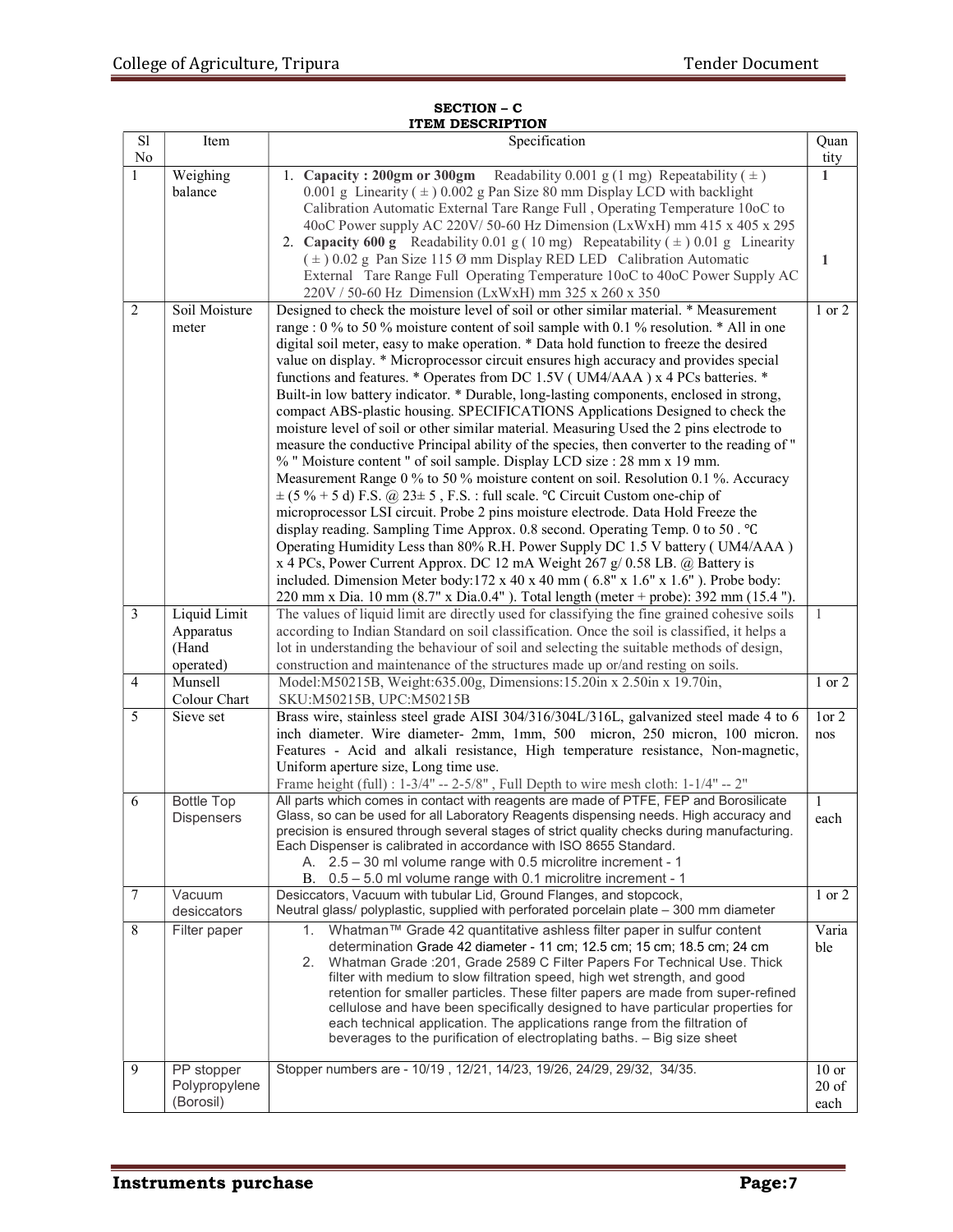#### SECTION – C ITEM DESCRIPTION

| $\overline{sl}$ | Item                        | Specification                                                                                                                                                                  | Quan               |
|-----------------|-----------------------------|--------------------------------------------------------------------------------------------------------------------------------------------------------------------------------|--------------------|
| $\rm No$        |                             |                                                                                                                                                                                | tity               |
| $\mathbf{1}$    | Weighing                    | 1. Capacity: 200gm or 300gm Readability 0.001 g (1 mg) Repeatability $(\pm)$                                                                                                   | $\mathbf{1}$       |
|                 | balance                     | 0.001 g Linearity $(\pm)$ 0.002 g Pan Size 80 mm Display LCD with backlight<br>Calibration Automatic External Tare Range Full, Operating Temperature 10oC to                   |                    |
|                 |                             | 40oC Power supply AC 220V/50-60 Hz Dimension (LxWxH) mm 415 x 405 x 295                                                                                                        |                    |
|                 |                             | 2. Capacity 600 g Readability 0.01 g (10 mg) Repeatability $(\pm)$ 0.01 g Linearity                                                                                            |                    |
|                 |                             | $(\pm)$ 0.02 g Pan Size 115 Ø mm Display RED LED Calibration Automatic                                                                                                         | 1                  |
|                 |                             | External Tare Range Full Operating Temperature 10oC to 40oC Power Supply AC                                                                                                    |                    |
|                 |                             | 220V / 50-60 Hz Dimension (LxWxH) mm 325 x 260 x 350                                                                                                                           |                    |
| $\overline{2}$  | Soil Moisture               | Designed to check the moisture level of soil or other similar material. * Measurement                                                                                          | 1 or 2             |
|                 | meter                       | range : 0 % to 50 % moisture content of soil sample with 0.1 % resolution. * All in one                                                                                        |                    |
|                 |                             | digital soil meter, easy to make operation. * Data hold function to freeze the desired                                                                                         |                    |
|                 |                             | value on display. * Microprocessor circuit ensures high accuracy and provides special                                                                                          |                    |
|                 |                             | functions and features. * Operates from DC 1.5V (UM4/AAA) x 4 PCs batteries. *                                                                                                 |                    |
|                 |                             | Built-in low battery indicator. * Durable, long-lasting components, enclosed in strong,                                                                                        |                    |
|                 |                             | compact ABS-plastic housing. SPECIFICATIONS Applications Designed to check the                                                                                                 |                    |
|                 |                             | moisture level of soil or other similar material. Measuring Used the 2 pins electrode to                                                                                       |                    |
|                 |                             | measure the conductive Principal ability of the species, then converter to the reading of "                                                                                    |                    |
|                 |                             | % " Moisture content " of soil sample. Display LCD size : 28 mm x 19 mm.                                                                                                       |                    |
|                 |                             | Measurement Range 0 % to 50 % moisture content on soil. Resolution 0.1 %. Accuracy                                                                                             |                    |
|                 |                             | $\pm$ (5 % + 5 d) F.S. @ 23 $\pm$ 5, F.S. : full scale. °C Circuit Custom one-chip of                                                                                          |                    |
|                 |                             | microprocessor LSI circuit. Probe 2 pins moisture electrode. Data Hold Freeze the                                                                                              |                    |
|                 |                             | display reading. Sampling Time Approx. 0.8 second. Operating Temp. 0 to 50. °C                                                                                                 |                    |
|                 |                             | Operating Humidity Less than 80% R.H. Power Supply DC 1.5 V battery (UM4/AAA)                                                                                                  |                    |
|                 |                             | x 4 PCs, Power Current Approx. DC 12 mA Weight 267 g/ 0.58 LB. @ Battery is<br>included. Dimension Meter body:172 x 40 x 40 mm (6.8" x 1.6" x 1.6"). Probe body:               |                    |
|                 |                             | 220 mm x Dia. 10 mm (8.7" x Dia.0.4"). Total length (meter + probe): 392 mm (15.4 ").                                                                                          |                    |
| $\mathfrak{Z}$  | Liquid Limit                | The values of liquid limit are directly used for classifying the fine grained cohesive soils                                                                                   | -1                 |
|                 | Apparatus                   | according to Indian Standard on soil classification. Once the soil is classified, it helps a                                                                                   |                    |
|                 | (Hand                       | lot in understanding the behaviour of soil and selecting the suitable methods of design,                                                                                       |                    |
|                 | operated)                   | construction and maintenance of the structures made up or/and resting on soils.                                                                                                |                    |
| $\overline{4}$  | Munsell                     | Model: M50215B, Weight: 635.00g, Dimensions: 15.20in x 2.50in x 19.70in,                                                                                                       | $1$ or $2$         |
|                 | Colour Chart                | SKU:M50215B, UPC:M50215B                                                                                                                                                       |                    |
| 5               | Sieve set                   | Brass wire, stainless steel grade AISI 304/316/304L/316L, galvanized steel made 4 to 6                                                                                         | 1 or 2             |
|                 |                             | inch diameter. Wire diameter- 2mm, 1mm, 500 micron, 250 micron, 100 micron.                                                                                                    | nos                |
|                 |                             | Features - Acid and alkali resistance, High temperature resistance, Non-magnetic,                                                                                              |                    |
|                 |                             | Uniform aperture size, Long time use.                                                                                                                                          |                    |
|                 |                             | Frame height (full) : 1-3/4" -- 2-5/8", Full Depth to wire mesh cloth: 1-1/4" -- 2"                                                                                            |                    |
| 6               | <b>Bottle Top</b>           | All parts which comes in contact with reagents are made of PTFE, FEP and Borosilicate<br>Glass, so can be used for all Laboratory Reagents dispensing needs. High accuracy and | 1                  |
|                 | <b>Dispensers</b>           | precision is ensured through several stages of strict quality checks during manufacturing.                                                                                     | each               |
|                 |                             | Each Dispenser is calibrated in accordance with ISO 8655 Standard.                                                                                                             |                    |
|                 |                             | 2.5 - 30 ml volume range with 0.5 microlitre increment - 1<br>А.                                                                                                               |                    |
|                 |                             | 0.5 - 5.0 ml volume range with 0.1 microlitre increment - 1<br>В.                                                                                                              |                    |
| $\tau$          | Vacuum                      | Desiccators, Vacuum with tubular Lid, Ground Flanges, and stopcock,                                                                                                            | $1$ or $2$         |
|                 | desiccators                 | Neutral glass/ polyplastic, supplied with perforated porcelain plate - 300 mm diameter                                                                                         |                    |
| 8               | Filter paper                | 1. Whatman™ Grade 42 quantitative ashless filter paper in sulfur content                                                                                                       | Varia              |
|                 |                             | determination Grade 42 diameter - 11 cm; 12.5 cm; 15 cm; 18.5 cm; 24 cm                                                                                                        | ble                |
|                 |                             | 2. Whatman Grade : 201, Grade 2589 C Filter Papers For Technical Use. Thick                                                                                                    |                    |
|                 |                             | filter with medium to slow filtration speed, high wet strength, and good<br>retention for smaller particles. These filter papers are made from super-refined                   |                    |
|                 |                             | cellulose and have been specifically designed to have particular properties for                                                                                                |                    |
|                 |                             | each technical application. The applications range from the filtration of                                                                                                      |                    |
|                 |                             | beverages to the purification of electroplating baths. - Big size sheet                                                                                                        |                    |
|                 |                             |                                                                                                                                                                                |                    |
| 9               | PP stopper<br>Polypropylene | Stopper numbers are - 10/19, 12/21, 14/23, 19/26, 24/29, 29/32, 34/35.                                                                                                         | $10$ or<br>$20$ of |
|                 | (Borosil)                   |                                                                                                                                                                                | each               |
|                 |                             |                                                                                                                                                                                |                    |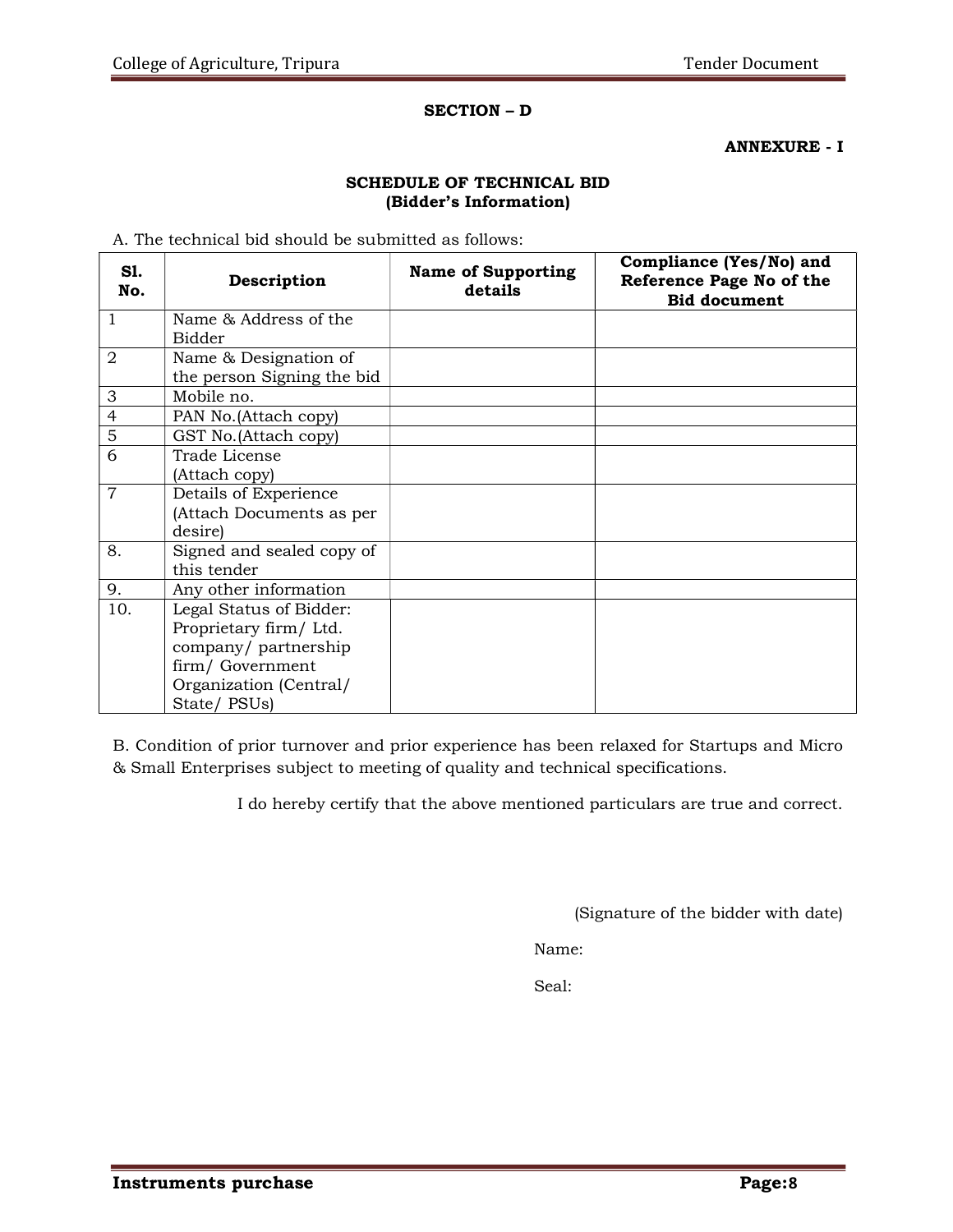## SECTION – D

ANNEXURE - I

## SCHEDULE OF TECHNICAL BID (Bidder's Information)

A. The technical bid should be submitted as follows:

| Sl.<br>No.     | Description                                                                                                                         | <b>Name of Supporting</b><br>details | Compliance (Yes/No) and<br>Reference Page No of the<br><b>Bid document</b> |
|----------------|-------------------------------------------------------------------------------------------------------------------------------------|--------------------------------------|----------------------------------------------------------------------------|
| $\mathbf{1}$   | Name & Address of the<br><b>Bidder</b>                                                                                              |                                      |                                                                            |
| $\overline{2}$ | Name & Designation of<br>the person Signing the bid                                                                                 |                                      |                                                                            |
| 3              | Mobile no.                                                                                                                          |                                      |                                                                            |
| $\overline{4}$ | PAN No. (Attach copy)                                                                                                               |                                      |                                                                            |
| 5              | GST No. (Attach copy)                                                                                                               |                                      |                                                                            |
| 6              | Trade License<br>(Attach copy)                                                                                                      |                                      |                                                                            |
| $\overline{7}$ | Details of Experience<br>(Attach Documents as per<br>desire)                                                                        |                                      |                                                                            |
| 8.             | Signed and sealed copy of<br>this tender                                                                                            |                                      |                                                                            |
| 9.             | Any other information                                                                                                               |                                      |                                                                            |
| 10.            | Legal Status of Bidder:<br>Proprietary firm/Ltd.<br>company/partnership<br>firm/Government<br>Organization (Central/<br>State/PSUs) |                                      |                                                                            |

B. Condition of prior turnover and prior experience has been relaxed for Startups and Micro & Small Enterprises subject to meeting of quality and technical specifications.

I do hereby certify that the above mentioned particulars are true and correct.

(Signature of the bidder with date)

Name:

Seal: